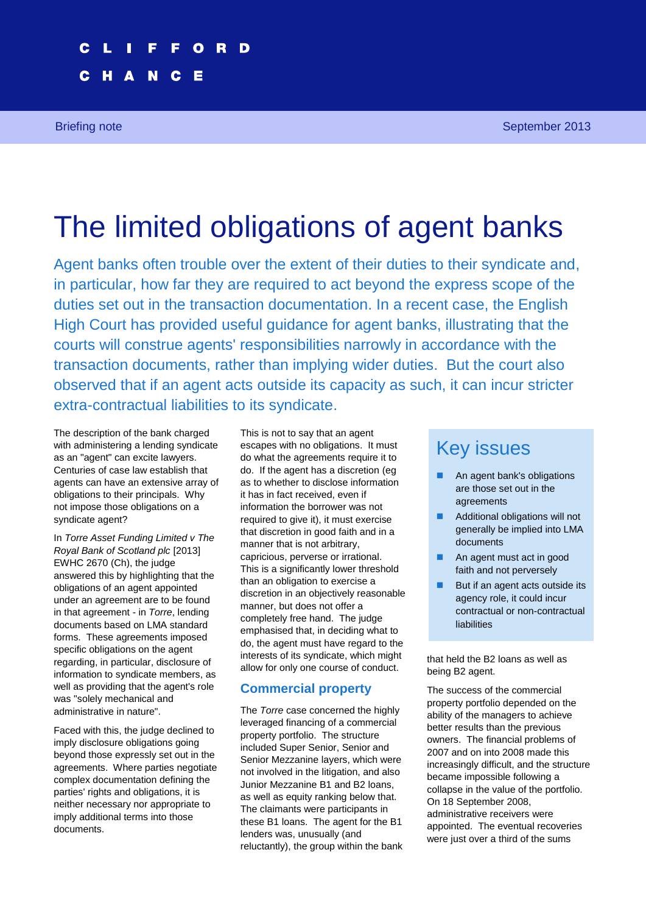Briefing note **September 2013 September 2013** 

# The limited obligations of agent banks

Agent banks often trouble over the extent of their duties to their syndicate and, in particular, how far they are required to act beyond the express scope of the duties set out in the transaction documentation. In a recent case, the English High Court has provided useful guidance for agent banks, illustrating that the courts will construe agents' responsibilities narrowly in accordance with the transaction documents, rather than implying wider duties. But the court also observed that if an agent acts outside its capacity as such, it can incur stricter extra-contractual liabilities to its syndicate.

The description of the bank charged with administering a lending syndicate as an "agent" can excite lawyers. Centuries of case law establish that agents can have an extensive array of obligations to their principals. Why not impose those obligations on a syndicate agent?

In *Torre Asset Funding Limited v The Royal Bank of Scotland plc* [2013] EWHC 2670 (Ch), the judge answered this by highlighting that the obligations of an agent appointed under an agreement are to be found in that agreement - in *Torre*, lending documents based on LMA standard forms. These agreements imposed specific obligations on the agent regarding, in particular, disclosure of information to syndicate members, as well as providing that the agent's role was "solely mechanical and administrative in nature".

Faced with this, the judge declined to imply disclosure obligations going beyond those expressly set out in the agreements. Where parties negotiate complex documentation defining the parties' rights and obligations, it is neither necessary nor appropriate to imply additional terms into those documents.

This is not to say that an agent escapes with no obligations. It must do what the agreements require it to do. If the agent has a discretion (eg as to whether to disclose information it has in fact received, even if information the borrower was not required to give it), it must exercise that discretion in good faith and in a manner that is not arbitrary, capricious, perverse or irrational. This is a significantly lower threshold than an obligation to exercise a discretion in an objectively reasonable manner, but does not offer a completely free hand. The judge emphasised that, in deciding what to do, the agent must have regard to the interests of its syndicate, which might allow for only one course of conduct.

# **Commercial property**

The *Torre* case concerned the highly leveraged financing of a commercial property portfolio. The structure included Super Senior, Senior and Senior Mezzanine layers, which were not involved in the litigation, and also Junior Mezzanine B1 and B2 loans, as well as equity ranking below that. The claimants were participants in these B1 loans. The agent for the B1 lenders was, unusually (and reluctantly), the group within the bank

# Key issues

- An agent bank's obligations are those set out in the agreements
- **Additional obligations will not** generally be implied into LMA documents
- An agent must act in good faith and not perversely
- But if an agent acts outside its agency role, it could incur contractual or non-contractual liabilities

that held the B2 loans as well as being B2 agent.

The success of the commercial property portfolio depended on the ability of the managers to achieve better results than the previous owners. The financial problems of 2007 and on into 2008 made this increasingly difficult, and the structure became impossible following a collapse in the value of the portfolio. On 18 September 2008, administrative receivers were appointed. The eventual recoveries were just over a third of the sums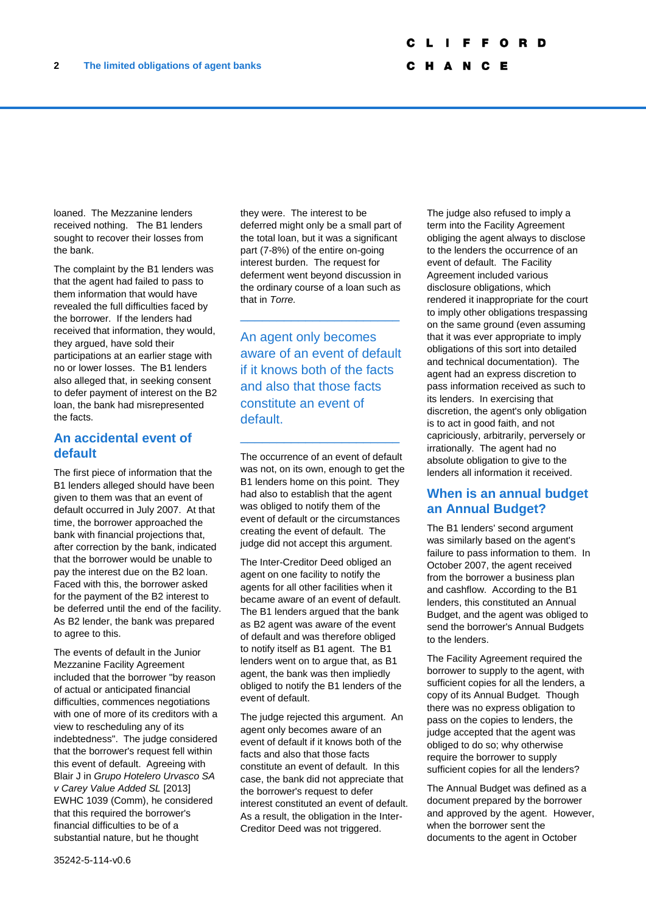C H A N C E

loaned. The Mezzanine lenders received nothing. The B1 lenders sought to recover their losses from the bank.

The complaint by the B1 lenders was that the agent had failed to pass to them information that would have revealed the full difficulties faced by the borrower. If the lenders had received that information, they would, they argued, have sold their participations at an earlier stage with no or lower losses. The B1 lenders also alleged that, in seeking consent to defer payment of interest on the B2 loan, the bank had misrepresented the facts.

### **An accidental event of default**

The first piece of information that the B1 lenders alleged should have been given to them was that an event of default occurred in July 2007. At that time, the borrower approached the bank with financial projections that, after correction by the bank, indicated that the borrower would be unable to pay the interest due on the B2 loan. Faced with this, the borrower asked for the payment of the B2 interest to be deferred until the end of the facility. As B2 lender, the bank was prepared to agree to this.

The events of default in the Junior Mezzanine Facility Agreement included that the borrower "by reason of actual or anticipated financial difficulties, commences negotiations with one of more of its creditors with a view to rescheduling any of its indebtedness". The judge considered that the borrower's request fell within this event of default. Agreeing with Blair J in *Grupo Hotelero Urvasco SA v Carey Value Added SL* [2013] EWHC 1039 (Comm), he considered that this required the borrower's financial difficulties to be of a substantial nature, but he thought

they were. The interest to be deferred might only be a small part of the total loan, but it was a significant part (7-8%) of the entire on-going interest burden. The request for deferment went beyond discussion in the ordinary course of a loan such as that in *Torre.*

\_\_\_\_\_\_\_\_\_\_\_\_\_\_\_\_\_\_\_\_\_\_

An agent only becomes aware of an event of default if it knows both of the facts and also that those facts constitute an event of default.

\_\_\_\_\_\_\_\_\_\_\_\_\_\_\_\_\_\_\_\_\_\_

The occurrence of an event of default was not, on its own, enough to get the B1 lenders home on this point. They had also to establish that the agent was obliged to notify them of the event of default or the circumstances creating the event of default. The judge did not accept this argument.

The Inter-Creditor Deed obliged an agent on one facility to notify the agents for all other facilities when it became aware of an event of default. The B1 lenders argued that the bank as B2 agent was aware of the event of default and was therefore obliged to notify itself as B1 agent. The B1 lenders went on to argue that, as B1 agent, the bank was then impliedly obliged to notify the B1 lenders of the event of default.

The judge rejected this argument. An agent only becomes aware of an event of default if it knows both of the facts and also that those facts constitute an event of default. In this case, the bank did not appreciate that the borrower's request to defer interest constituted an event of default. As a result, the obligation in the Inter-Creditor Deed was not triggered.

The judge also refused to imply a term into the Facility Agreement obliging the agent always to disclose to the lenders the occurrence of an event of default. The Facility Agreement included various disclosure obligations, which rendered it inappropriate for the court to imply other obligations trespassing on the same ground (even assuming that it was ever appropriate to imply obligations of this sort into detailed and technical documentation). The agent had an express discretion to pass information received as such to its lenders. In exercising that discretion, the agent's only obligation is to act in good faith, and not capriciously, arbitrarily, perversely or irrationally. The agent had no absolute obligation to give to the lenders all information it received.

# **When is an annual budget an Annual Budget?**

The B1 lenders' second argument was similarly based on the agent's failure to pass information to them. In October 2007, the agent received from the borrower a business plan and cashflow. According to the B1 lenders, this constituted an Annual Budget, and the agent was obliged to send the borrower's Annual Budgets to the lenders.

The Facility Agreement required the borrower to supply to the agent, with sufficient copies for all the lenders, a copy of its Annual Budget. Though there was no express obligation to pass on the copies to lenders, the judge accepted that the agent was obliged to do so; why otherwise require the borrower to supply sufficient copies for all the lenders?

The Annual Budget was defined as a document prepared by the borrower and approved by the agent. However, when the borrower sent the documents to the agent in October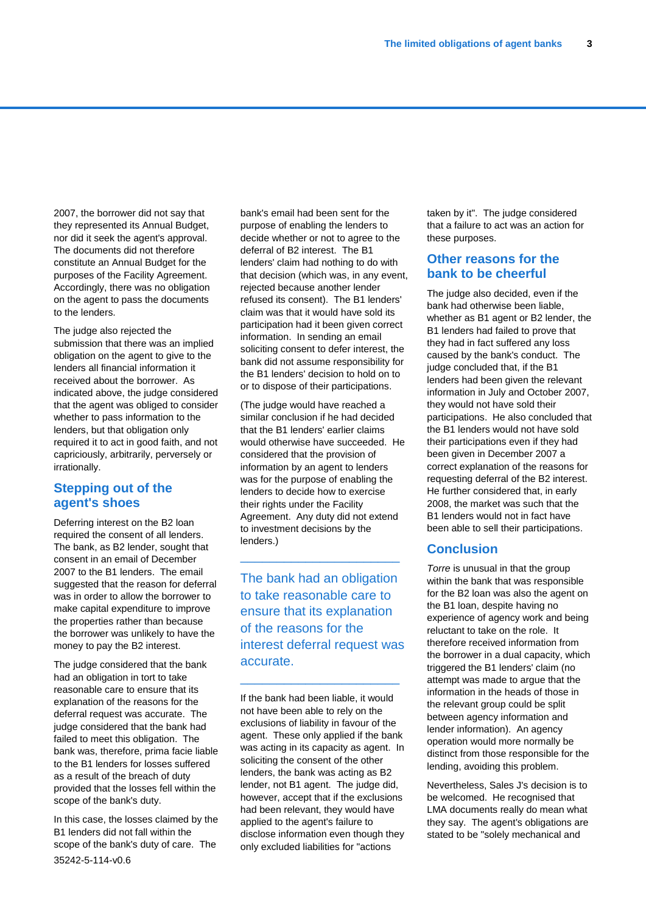2007, the borrower did not say that they represented its Annual Budget, nor did it seek the agent's approval. The documents did not therefore constitute an Annual Budget for the purposes of the Facility Agreement. Accordingly, there was no obligation on the agent to pass the documents to the lenders.

The judge also rejected the submission that there was an implied obligation on the agent to give to the lenders all financial information it received about the borrower. As indicated above, the judge considered that the agent was obliged to consider whether to pass information to the lenders, but that obligation only required it to act in good faith, and not capriciously, arbitrarily, perversely or irrationally.

# **Stepping out of the agent's shoes**

Deferring interest on the B2 loan required the consent of all lenders. The bank, as B2 lender, sought that consent in an email of December 2007 to the B1 lenders. The email suggested that the reason for deferral was in order to allow the borrower to make capital expenditure to improve the properties rather than because the borrower was unlikely to have the money to pay the B2 interest.

The judge considered that the bank had an obligation in tort to take reasonable care to ensure that its explanation of the reasons for the deferral request was accurate. The judge considered that the bank had failed to meet this obligation. The bank was, therefore, prima facie liable to the B1 lenders for losses suffered as a result of the breach of duty provided that the losses fell within the scope of the bank's duty.

35242-5-114-v0.6 In this case, the losses claimed by the B1 lenders did not fall within the scope of the bank's duty of care. The

bank's email had been sent for the purpose of enabling the lenders to decide whether or not to agree to the deferral of B2 interest. The B1 lenders' claim had nothing to do with that decision (which was, in any event, rejected because another lender refused its consent). The B1 lenders' claim was that it would have sold its participation had it been given correct information. In sending an email soliciting consent to defer interest, the bank did not assume responsibility for the B1 lenders' decision to hold on to or to dispose of their participations.

(The judge would have reached a similar conclusion if he had decided that the B1 lenders' earlier claims would otherwise have succeeded. He considered that the provision of information by an agent to lenders was for the purpose of enabling the lenders to decide how to exercise their rights under the Facility Agreement. Any duty did not extend to investment decisions by the lenders.)

The bank had an obligation to take reasonable care to ensure that its explanation of the reasons for the interest deferral request was accurate.

\_\_\_\_\_\_\_\_\_\_\_\_\_\_\_\_\_\_\_\_\_\_

\_\_\_\_\_\_\_\_\_\_\_\_\_\_\_\_\_\_\_\_\_\_

If the bank had been liable, it would not have been able to rely on the exclusions of liability in favour of the agent. These only applied if the bank was acting in its capacity as agent. In soliciting the consent of the other lenders, the bank was acting as B2 lender, not B1 agent. The judge did, however, accept that if the exclusions had been relevant, they would have applied to the agent's failure to disclose information even though they only excluded liabilities for "actions

taken by it". The judge considered that a failure to act was an action for these purposes.

## **Other reasons for the bank to be cheerful**

The judge also decided, even if the bank had otherwise been liable, whether as B1 agent or B2 lender, the B1 lenders had failed to prove that they had in fact suffered any loss caused by the bank's conduct. The judge concluded that, if the B1 lenders had been given the relevant information in July and October 2007, they would not have sold their participations. He also concluded that the B1 lenders would not have sold their participations even if they had been given in December 2007 a correct explanation of the reasons for requesting deferral of the B2 interest. He further considered that, in early 2008, the market was such that the B1 lenders would not in fact have been able to sell their participations.

### **Conclusion**

*Torre* is unusual in that the group within the bank that was responsible for the B2 loan was also the agent on the B1 loan, despite having no experience of agency work and being reluctant to take on the role. It therefore received information from the borrower in a dual capacity, which triggered the B1 lenders' claim (no attempt was made to argue that the information in the heads of those in the relevant group could be split between agency information and lender information). An agency operation would more normally be distinct from those responsible for the lending, avoiding this problem.

Nevertheless, Sales J's decision is to be welcomed. He recognised that LMA documents really do mean what they say. The agent's obligations are stated to be "solely mechanical and